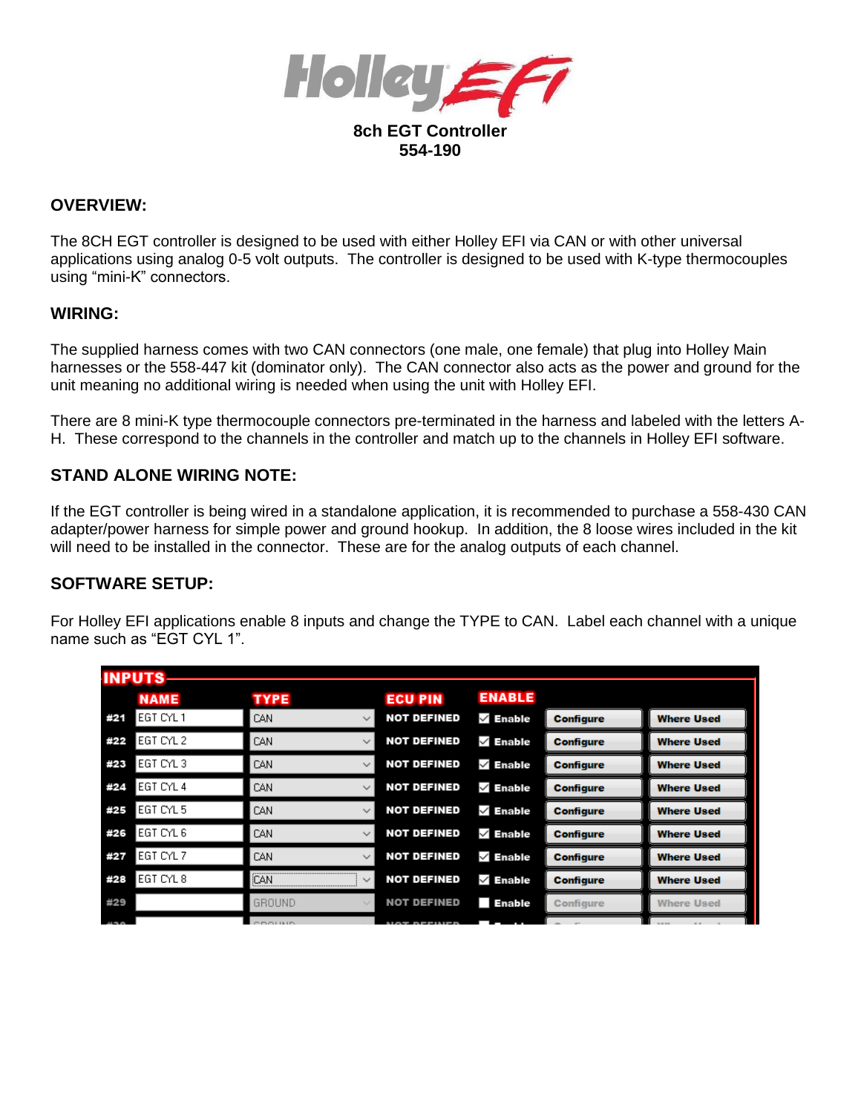

# **OVERVIEW:**

The 8CH EGT controller is designed to be used with either Holley EFI via CAN or with other universal applications using analog 0-5 volt outputs. The controller is designed to be used with K-type thermocouples using "mini-K" connectors.

#### **WIRING:**

The supplied harness comes with two CAN connectors (one male, one female) that plug into Holley Main harnesses or the 558-447 kit (dominator only). The CAN connector also acts as the power and ground for the unit meaning no additional wiring is needed when using the unit with Holley EFI.

There are 8 mini-K type thermocouple connectors pre-terminated in the harness and labeled with the letters A-H. These correspond to the channels in the controller and match up to the channels in Holley EFI software.

## **STAND ALONE WIRING NOTE:**

If the EGT controller is being wired in a standalone application, it is recommended to purchase a 558-430 CAN adapter/power harness for simple power and ground hookup. In addition, the 8 loose wires included in the kit will need to be installed in the connector. These are for the analog outputs of each channel.

## **SOFTWARE SETUP:**

For Holley EFI applications enable 8 inputs and change the TYPE to CAN. Label each channel with a unique name such as "FGT CYL 1"

|     | <b>INPUTS</b> |                      |                    |               |                  |                   |
|-----|---------------|----------------------|--------------------|---------------|------------------|-------------------|
|     | <b>NAME</b>   | <b>TYPE</b>          | <b>ECU PIN</b>     | <b>ENABLE</b> |                  |                   |
| #21 | EGT CYL 1     | CAN<br>$\checkmark$  | <b>NOT DEFINED</b> | $\vee$ Enable | <b>Configure</b> | <b>Where Used</b> |
| #22 | IEGT CYL 2    | CAN<br>$\checkmark$  | <b>NOT DEFINED</b> | $\vee$ Enable | <b>Configure</b> | <b>Where Used</b> |
| #23 | IEGT CYL 3.   | CAN<br>$\sim$        | <b>NOT DEFINED</b> | $\vee$ Enable | <b>Configure</b> | <b>Where Used</b> |
| #24 | EGT CYL 4     | CAN<br>$\checkmark$  | <b>NOT DEFINED</b> | $\vee$ Enable | <b>Configure</b> | <b>Where Used</b> |
| #25 | IEGT CYL 5    | CAN<br>$\checkmark$  | <b>NOT DEFINED</b> | $\vee$ Enable | <b>Configure</b> | <b>Where Used</b> |
| #26 | IEGT CYL 6    | CAN<br>$\sim$        | <b>NOT DEFINED</b> | $\vee$ Enable | <b>Configure</b> | <b>Where Used</b> |
| #27 | EGT CYL 7     | CAN<br>$\sim$        | <b>NOT DEFINED</b> | $\vee$ Enable | <b>Configure</b> | <b>Where Used</b> |
| #28 | EGT CYL 8     | iCAN<br>$\checkmark$ | <b>NOT DEFINED</b> | $\vee$ Enable | <b>Configure</b> | <b>Where Used</b> |
| #29 |               | GROUND               | <b>NOT DEFINED</b> | <b>Enable</b> | Configure        | <b>Where Used</b> |
|     |               |                      |                    |               |                  |                   |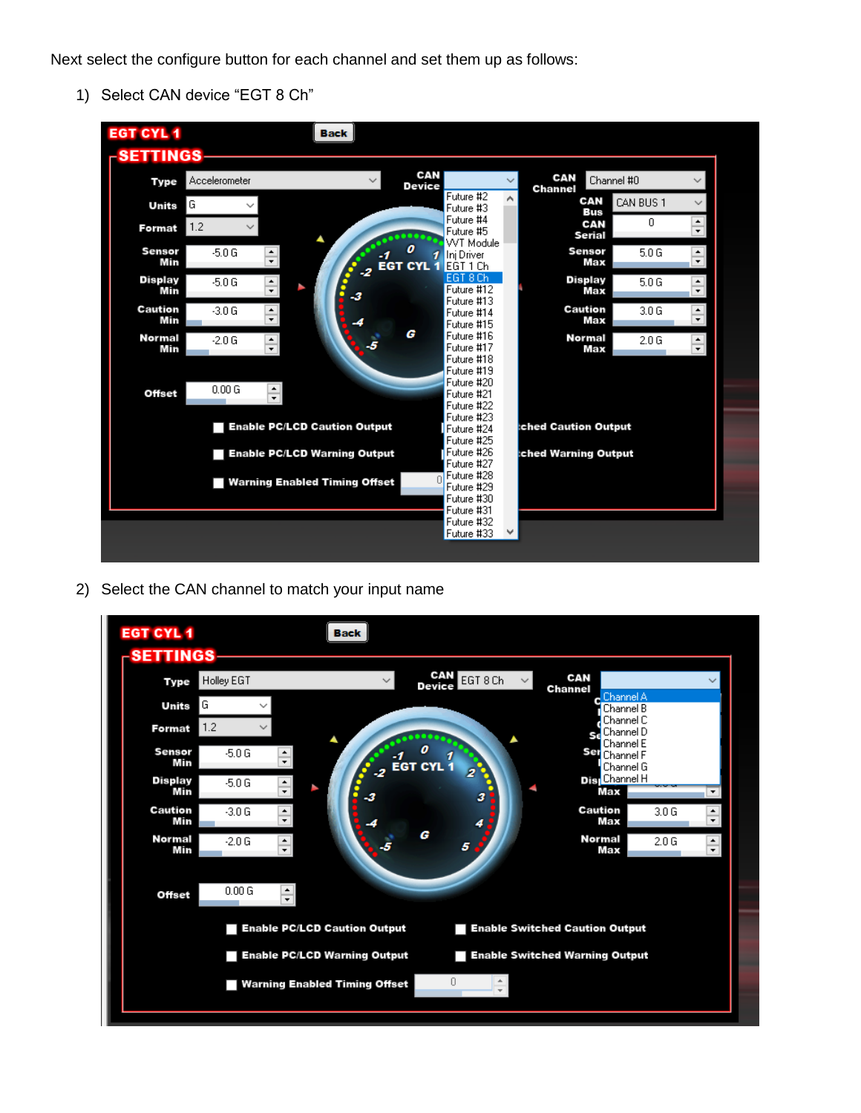Next select the configure button for each channel and set them up as follows:

1) Select CAN device "EGT 8 Ch"



2) Select the CAN channel to match your input name

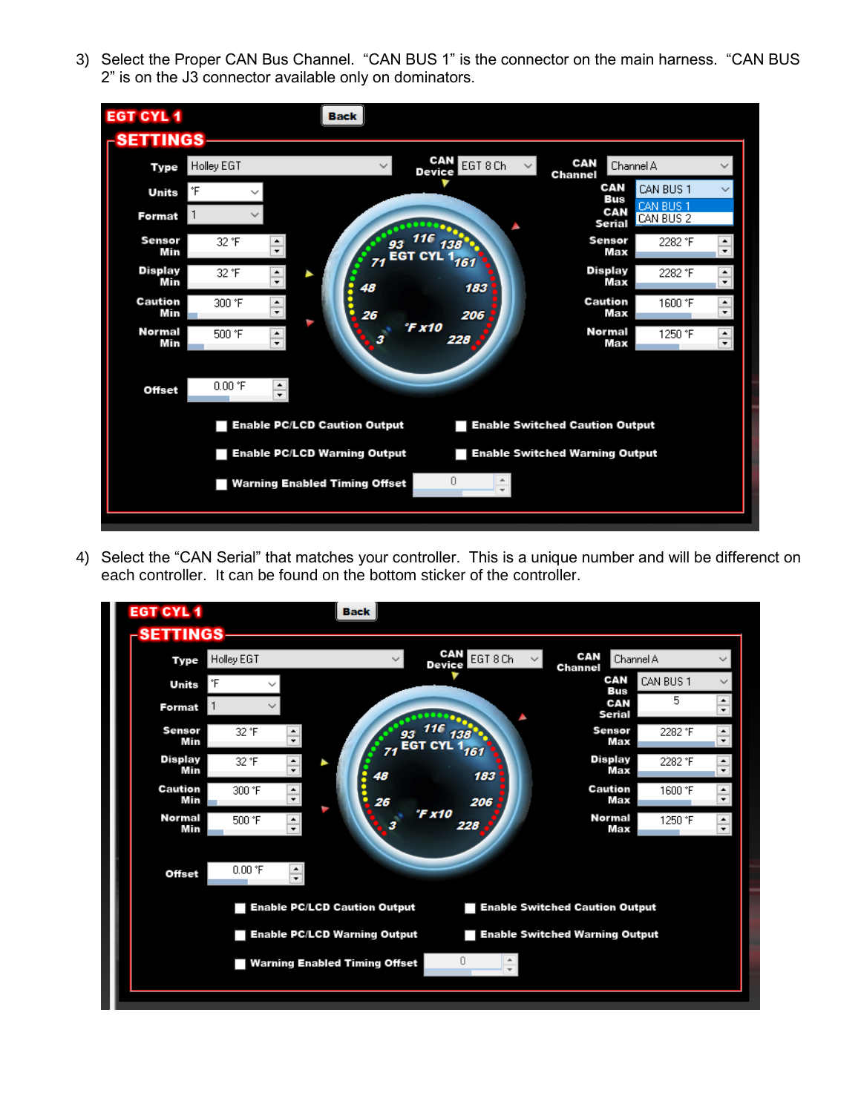3) Select the Proper CAN Bus Channel. "CAN BUS 1" is the connector on the main harness. "CAN BUS 2" is on the J3 connector available only on dominators.



4) Select the "CAN Serial" that matches your controller. This is a unique number and will be differenct on each controller. It can be found on the bottom sticker of the controller.

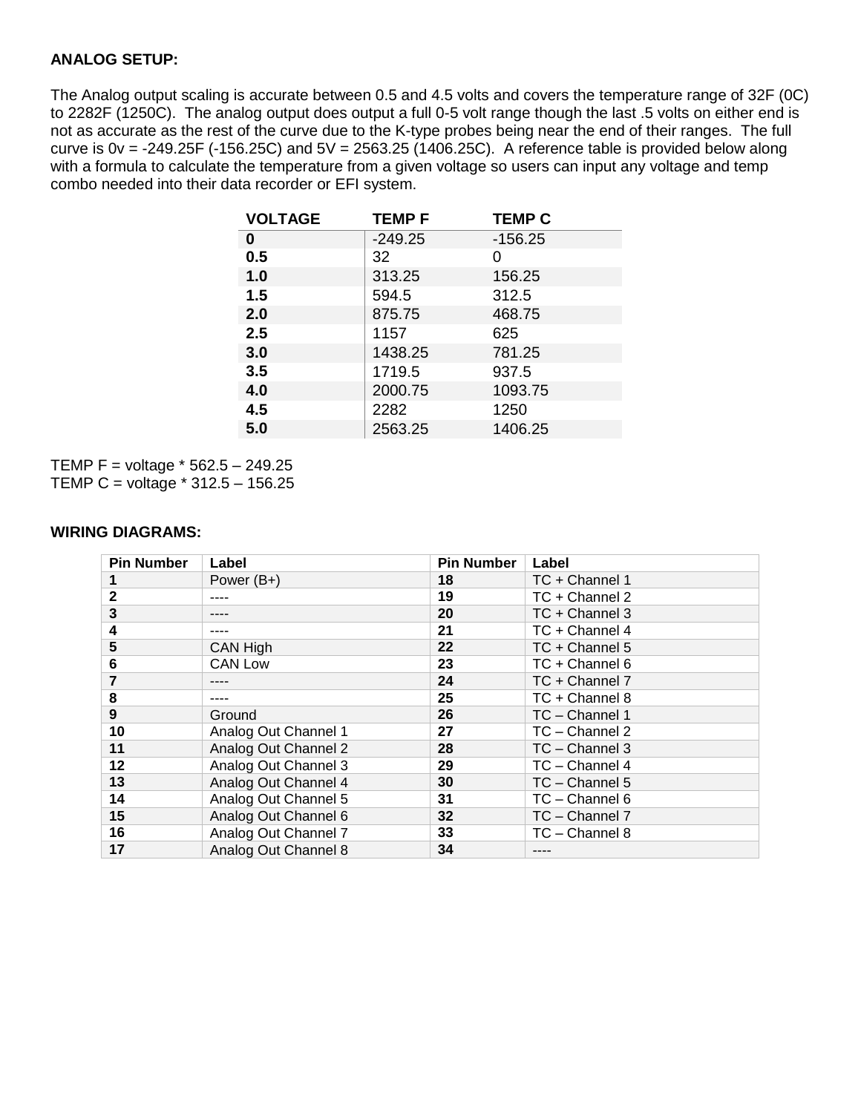### **ANALOG SETUP:**

The Analog output scaling is accurate between 0.5 and 4.5 volts and covers the temperature range of 32F (0C) to 2282F (1250C). The analog output does output a full 0-5 volt range though the last .5 volts on either end is not as accurate as the rest of the curve due to the K-type probes being near the end of their ranges. The full curve is  $0v = -249.25F (-156.25C)$  and  $5V = 2563.25 (1406.25C)$ . A reference table is provided below along with a formula to calculate the temperature from a given voltage so users can input any voltage and temp combo needed into their data recorder or EFI system.

| <b>VOLTAGE</b> | <b>TEMPF</b> | <b>TEMP C</b> |
|----------------|--------------|---------------|
| 0              | $-249.25$    | $-156.25$     |
| 0.5            | 32           | 0             |
| 1.0            | 313.25       | 156.25        |
| 1.5            | 594.5        | 312.5         |
| 2.0            | 875.75       | 468.75        |
| 2.5            | 1157         | 625           |
| 3.0            | 1438.25      | 781.25        |
| 3.5            | 1719.5       | 937.5         |
| 4.0            | 2000.75      | 1093.75       |
| 4.5            | 2282         | 1250          |
| 5.0            | 2563.25      | 1406.25       |
|                |              |               |

TEMP F = voltage  $*$  562.5 – 249.25 TEMP C = voltage \* 312.5 – 156.25

#### **WIRING DIAGRAMS:**

| <b>Pin Number</b> | Label                | <b>Pin Number</b> | Label            |
|-------------------|----------------------|-------------------|------------------|
|                   | Power $(B+)$         | 18                | TC + Channel 1   |
| $\mathbf{2}$      |                      | 19                | TC + Channel 2   |
| 3                 |                      | 20                | TC + Channel 3   |
| 4                 |                      | 21                | TC + Channel 4   |
| 5                 | CAN High             | 22                | TC + Channel 5   |
| 6                 | <b>CAN Low</b>       | 23                | TC + Channel 6   |
|                   |                      | 24                | TC + Channel 7   |
| 8                 |                      | 25                | TC + Channel 8   |
| 9                 | Ground               | 26                | TC - Channel 1   |
| 10                | Analog Out Channel 1 | 27                | TC - Channel 2   |
| 11                | Analog Out Channel 2 | 28                | $TC$ – Channel 3 |
| 12                | Analog Out Channel 3 | 29                | TC - Channel 4   |
| 13                | Analog Out Channel 4 | 30                | $TC - Channel 5$ |
| 14                | Analog Out Channel 5 | 31                | TC - Channel 6   |
| 15                | Analog Out Channel 6 | 32                | TC - Channel 7   |
| 16                | Analog Out Channel 7 | 33                | TC - Channel 8   |
| 17                | Analog Out Channel 8 | 34                |                  |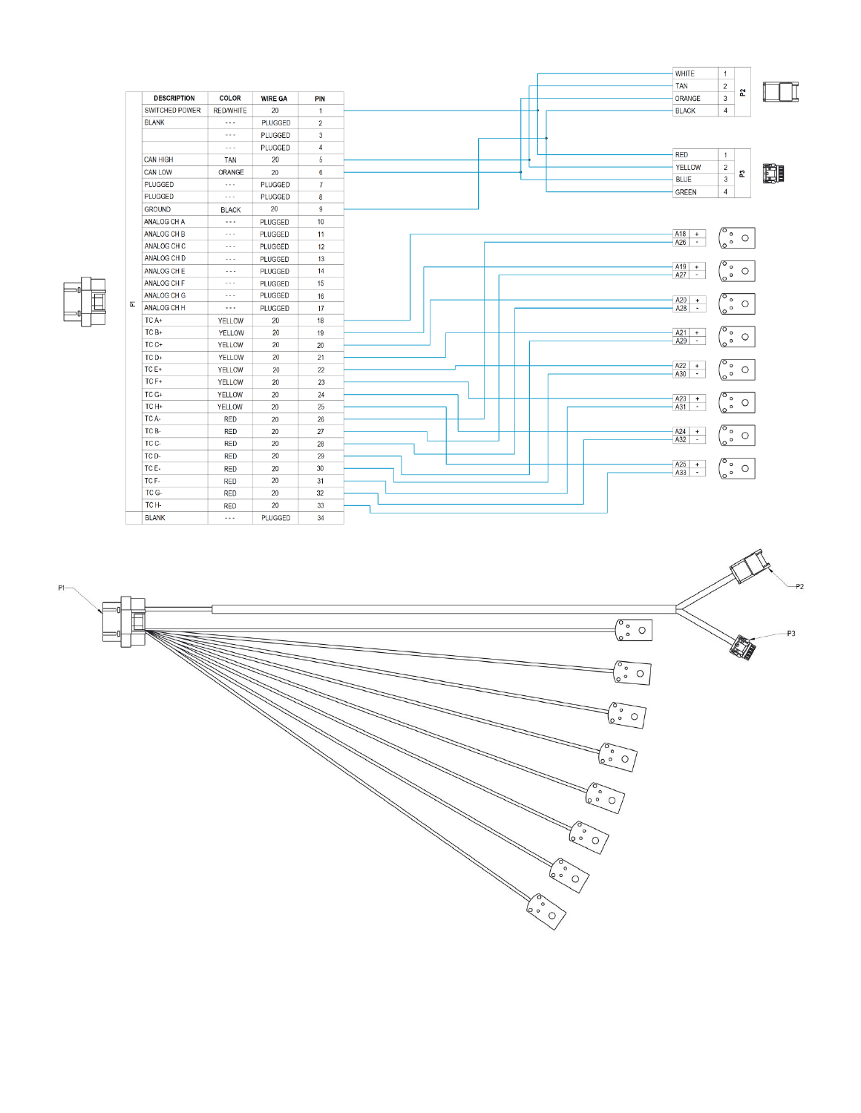|                                                                     | <b>WHITE</b><br>$\mathbf{1}$                            |
|---------------------------------------------------------------------|---------------------------------------------------------|
|                                                                     | <b>TAN</b><br>$\overline{2}$                            |
| <b>DESCRIPTION</b><br><b>COLOR</b><br><b>WIRE GA</b><br><b>PIN</b>  | ORANGE<br>$\mathbf{3}$                                  |
| <b>SWITCHED POWER</b><br><b>RED/WHITE</b><br>20<br>$\overline{1}$   | <b>BLACK</b><br>4                                       |
| <b>BLANK</b><br><b>PLUGGED</b><br>$\sim$ $\sim$<br>$\boldsymbol{2}$ |                                                         |
| PLUGGED<br>3<br>$\cdots$                                            |                                                         |
| PLUGGED<br>$\overline{4}$<br>$\sim$ $\sim$ $\sim$                   | <b>RED</b><br>$\mathbf{1}$                              |
| <b>CAN HIGH</b><br>20<br>5<br><b>TAN</b>                            | YELLOW<br>$\overline{2}$                                |
| <b>CAN LOW</b><br>ORANGE<br>6<br>20                                 | $\mathbf{3}$<br><b>BLUE</b>                             |
| <b>PLUGGED</b><br>PLUGGED<br>$\overline{7}$<br>$\cdots$             | 4                                                       |
| PLUGGED<br>PLUGGED<br>8<br>$\sim$ $\sim$                            | <b>GREEN</b>                                            |
| 20<br>$\overline{9}$<br><b>GROUND</b><br><b>BLACK</b>               |                                                         |
| 10<br>ANALOG CH A<br><b>PLUGGED</b><br>$\sim$ $\sim$ $\sim$         |                                                         |
| ANALOG CH B<br>PLUGGED<br>11<br>$\sim$ $\sim$ $\sim$                | $\sqrt{\circ}$ $_{\circ}$<br>A18<br>$+$                 |
| ANALOG CH C<br>PLUGGED<br>12<br>$\sim$ $\sim$ $\sim$                | $\circ$<br>A26<br>$\sim$                                |
| ANALOG CH D<br>13<br><b>PLUGGED</b><br>$\sim$ $\sim$ $\sim$         |                                                         |
| 14<br>ANALOG CH E<br><b>PLUGGED</b><br>$\sim$ $\sim$ $\sim$         | $A19 +$<br>ہ '<br>$\circ$ $\circ$<br>A27<br>$\sim$      |
| ANALOG CH F<br>15<br><b>PLUGGED</b><br>$\sim$ $\sim$ $\sim$         |                                                         |
| <b>PLUGGED</b><br>ANALOG CH G<br>16<br>$\sim$ $\sim$ $\sim$         | A20<br>۰.<br>$+$                                        |
| ANALOG CH H<br>PLUGGED<br>17<br>$\cdots$                            | $\circ$<br>A28<br>$\sim$                                |
| TC A+<br>20<br>18<br><b>YELLOW</b>                                  |                                                         |
| TC B+<br><b>YELLOW</b><br>20<br>19                                  | $A21 +$<br>$^{\prime}$ o                                |
| TC C+<br>YELLOW<br>20<br>20                                         | $\circ$<br>A29<br>$\sim$                                |
| TC D+<br>YELLOW<br>20<br>21                                         |                                                         |
| TC E+<br>22<br><b>YELLOW</b><br>20                                  | $\sqrt{\circ}$ .<br>A22<br>$+$<br>$\circ$ 0<br>÷<br>A30 |
| TC F+<br><b>YELLOW</b><br>20<br>23                                  |                                                         |
| TC G+<br>20<br>YELLOW<br>24                                         | A23<br>′ ം                                              |
| TC H+<br>25<br>20<br>YELLOW                                         | $+$<br>A31<br>$\circ$<br>$\sim$                         |
| TC A-<br>26<br><b>RED</b><br>20                                     |                                                         |
| TC B-<br>20<br>27<br><b>RED</b>                                     | $\sigma$ <sub>o</sub><br>A24<br>$+$                     |
| TC C-<br><b>RED</b><br>20<br>28                                     | A32<br>$\circ$<br>$\sim$                                |
| 20<br>TC D-<br><b>RED</b><br>29                                     |                                                         |
| TC E-<br>30<br>20<br><b>RED</b>                                     | A25<br>៓៓៰៓<br>$+$<br>A33<br>$\sim$                     |
| 20<br>TC F-<br><b>RED</b><br>31                                     |                                                         |
| TC G-<br>20<br>32<br><b>RED</b>                                     |                                                         |
| TC H-<br>20<br>33<br><b>RED</b>                                     |                                                         |
|                                                                     |                                                         |